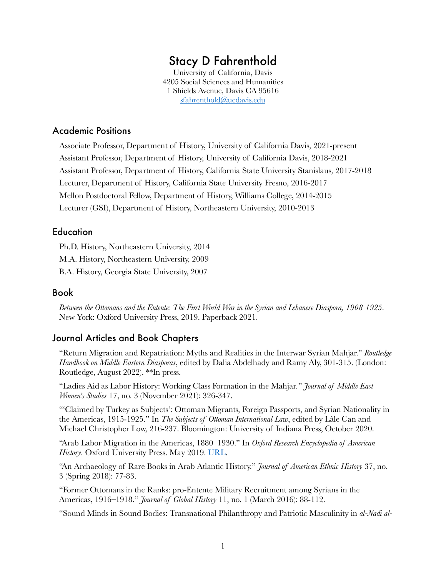# Stacy D Fahrenthold

University of California, Davis 4205 Social Sciences and Humanities 1 Shields Avenue, Davis CA 95616 sfahrenthold@ucdavis.edu

# Academic Positions

Associate Professor, Department of History, University of California Davis, 2021-present Assistant Professor, Department of History, University of California Davis, 2018-2021 Assistant Professor, Department of History, California State University Stanislaus, 2017-2018 Lecturer, Department of History, California State University Fresno, 2016-2017 Mellon Postdoctoral Fellow, Department of History, Williams College, 2014-2015 Lecturer (GSI), Department of History, Northeastern University, 2010-2013

# **Education**

Ph.D. History, Northeastern University, 2014 M.A. History, Northeastern University, 2009 B.A. History, Georgia State University, 2007

#### Book

*Between the Ottomans and the Entente: The First World War in the Syrian and Lebanese Diaspora, 1908-1925*. New York: Oxford University Press, 2019. Paperback 2021.

# Journal Articles and Book Chapters

"Return Migration and Repatriation: Myths and Realities in the Interwar Syrian Mahjar." *Routledge Handbook on Middle Eastern Diasporas*, edited by Dalia Abdelhady and Ramy Aly, 301-315. (London: Routledge, August 2022). \*\*In press.

"Ladies Aid as Labor History: Working Class Formation in the Mahjar*.*" *Journal of Middle East Women's Studies* 17, no. 3 (November 2021): 326-347.

"'Claimed by Turkey as Subjects': Ottoman Migrants, Foreign Passports, and Syrian Nationality in the Americas, 1915-1925." In *The Subjects of Ottoman International Law*, edited by Lâle Can and Michael Christopher Low, 216-237. Bloomington: University of Indiana Press, October 2020.

"Arab Labor Migration in the Americas, 1880–1930." In *Oxford Research Encyclopedia of American*  History. Oxford University Press. May 2019. URL.

"An Archaeology of Rare Books in Arab Atlantic History." *Journal of American Ethnic History* 37, no. 3 (Spring 2018): 77-83.

"Former Ottomans in the Ranks: pro-Entente Military Recruitment among Syrians in the Americas, 1916–1918." *Journal of Global History* 11, no. 1 (March 2016): 88-112.

"Sound Minds in Sound Bodies: Transnational Philanthropy and Patriotic Masculinity in *al-Nadi al-*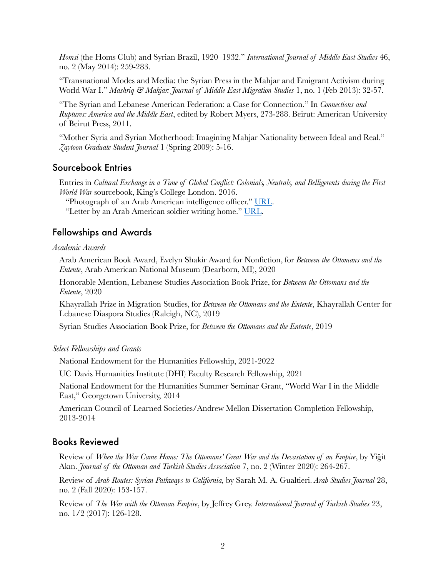*Homsi* (the Homs Club) and Syrian Brazil, 1920–1932." *International Journal of Middle East Studies* 46, no. 2 (May 2014): 259-283.

"Transnational Modes and Media: the Syrian Press in the Mahjar and Emigrant Activism during World War I." *Mashriq & Mahjar: Journal of Middle East Migration Studies* 1, no. 1 (Feb 2013): 32-57.

"The Syrian and Lebanese American Federation: a Case for Connection." In *Connections and Ruptures: America and the Middle East*, edited by Robert Myers, 273-288. Beirut: American University of Beirut Press, 2011.

"Mother Syria and Syrian Motherhood: Imagining Mahjar Nationality between Ideal and Real." *Zaytoon Graduate Student Journal* 1 (Spring 2009): 5-16.

# Sourcebook Entries

Entries in *Cultural Exchange in a Time of Global Conflict: Colonials, Neutrals, and Belligerents during the First World War* sourcebook, King's College London. 2016.

"Photograph of an Arab American intelligence officer." URL.

"Letter by an Arab American soldier writing home." URL.

# Fellowships and Awards

#### *Academic Awards*

Arab American Book Award, Evelyn Shakir Award for Nonfiction, for *Between the Ottomans and the Entente*, Arab American National Museum (Dearborn, MI), 2020

Honorable Mention, Lebanese Studies Association Book Prize, for *Between the Ottomans and the Entente*, 2020

Khayrallah Prize in Migration Studies, for *Between the Ottomans and the Entente*, Khayrallah Center for Lebanese Diaspora Studies (Raleigh, NC), 2019

Syrian Studies Association Book Prize, for *Between the Ottomans and the Entente*, 2019

#### *Select Fellowships and Grants*

National Endowment for the Humanities Fellowship, 2021-2022

UC Davis Humanities Institute (DHI) Faculty Research Fellowship, 2021

National Endowment for the Humanities Summer Seminar Grant, "World War I in the Middle East," Georgetown University, 2014

American Council of Learned Societies/Andrew Mellon Dissertation Completion Fellowship, 2013-2014

# Books Reviewed

Review of *When the War Came Home: The Ottomans' Great War and the Devastation of an Empire*, by Yiğit Akın. *Journal of the Ottoman and Turkish Studies Association* 7, no. 2 (Winter 2020): 264-267.

Review of *Arab Routes: Syrian Pathways to California,* by Sarah M. A. Gualtieri. *Arab Studies Journal* 28, no. 2 (Fall 2020): 153-157.

Review of *The War with the Ottoman Empire*, by Jeffrey Grey. *International Journal of Turkish Studies* 23, no. 1/2 (2017): 126-128.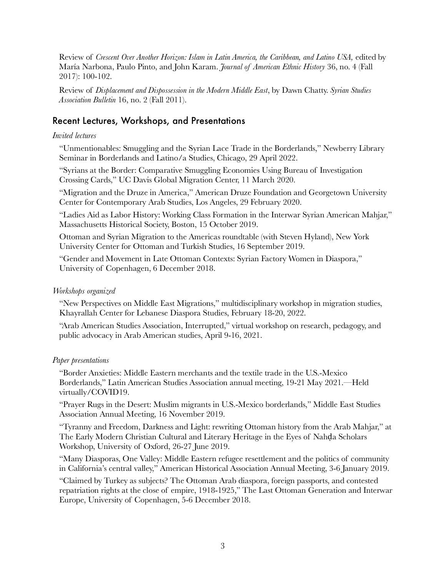Review of *Crescent Over Another Horizon: Islam in Latin America, the Caribbean, and Latino USA,* edited by María Narbona, Paulo Pinto, and John Karam. *Journal of American Ethnic History* 36, no. 4 (Fall 2017): 100-102.

Review of *Displacement and Dispossession in the Modern Middle East*, by Dawn Chatty. *Syrian Studies Association Bulletin* 16, no. 2 (Fall 2011).

# Recent Lectures, Workshops, and Presentations

## *Invited lectures*

"Unmentionables: Smuggling and the Syrian Lace Trade in the Borderlands," Newberry Library Seminar in Borderlands and Latino/a Studies, Chicago, 29 April 2022.

"Syrians at the Border: Comparative Smuggling Economies Using Bureau of Investigation Crossing Cards," UC Davis Global Migration Center, 11 March 2020.

"Migration and the Druze in America," American Druze Foundation and Georgetown University Center for Contemporary Arab Studies, Los Angeles, 29 February 2020.

"Ladies Aid as Labor History: Working Class Formation in the Interwar Syrian American Mahjar," Massachusetts Historical Society, Boston, 15 October 2019.

Ottoman and Syrian Migration to the Americas roundtable (with Steven Hyland), New York University Center for Ottoman and Turkish Studies, 16 September 2019.

"Gender and Movement in Late Ottoman Contexts: Syrian Factory Women in Diaspora," University of Copenhagen, 6 December 2018.

## *Workshops organized*

"New Perspectives on Middle East Migrations," multidisciplinary workshop in migration studies, Khayrallah Center for Lebanese Diaspora Studies, February 18-20, 2022.

"Arab American Studies Association, Interrupted," virtual workshop on research, pedagogy, and public advocacy in Arab American studies, April 9-16, 2021.

#### *Paper presentations*

"Border Anxieties: Middle Eastern merchants and the textile trade in the U.S.-Mexico Borderlands," Latin American Studies Association annual meeting, 19-21 May 2021.—Held virtually/COVID19.

"Prayer Rugs in the Desert: Muslim migrants in U.S.-Mexico borderlands," Middle East Studies Association Annual Meeting, 16 November 2019.

"Tyranny and Freedom, Darkness and Light: rewriting Ottoman history from the Arab Mahjar," at The Early Modern Christian Cultural and Literary Heritage in the Eyes of Nahḍa Scholars Workshop, University of Oxford, 26-27 June 2019.

"Many Diasporas, One Valley: Middle Eastern refugee resettlement and the politics of community in California's central valley," American Historical Association Annual Meeting, 3-6 January 2019.

"Claimed by Turkey as subjects? The Ottoman Arab diaspora, foreign passports, and contested repatriation rights at the close of empire, 1918-1925," The Last Ottoman Generation and Interwar Europe, University of Copenhagen, 5-6 December 2018.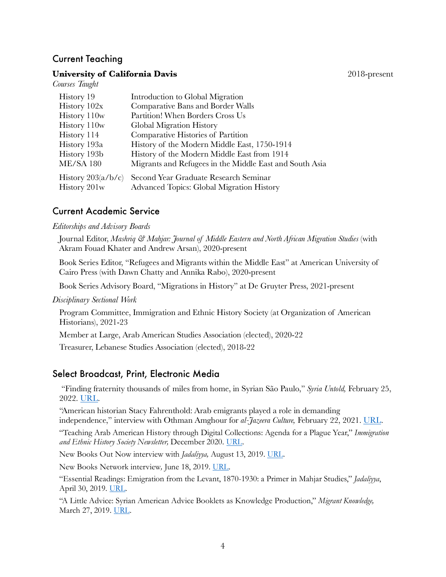# Current Teaching

*Courses Taught*

#### **University of California Davis** 2018-present

| History 19               | Introduction to Global Migration                        |
|--------------------------|---------------------------------------------------------|
| History 102x             | Comparative Bans and Border Walls                       |
| History 110w             | Partition! When Borders Cross Us                        |
| History 110w             | Global Migration History                                |
| History 114              | Comparative Histories of Partition                      |
| History 193a             | History of the Modern Middle East, 1750-1914            |
| History 193b             | History of the Modern Middle East from 1914             |
| <b>ME/SA 180</b>         | Migrants and Refugees in the Middle East and South Asia |
| History $203(a/b/c)$     | Second Year Graduate Research Seminar                   |
| History 201 <sub>w</sub> | Advanced Topics: Global Migration History               |
|                          |                                                         |

# Current Academic Service

#### *Editorships and Advisory Boards*

Journal Editor, *Mashriq & Mahjar: Journal of Middle Eastern and North African Migration Studies* (with Akram Fouad Khater and Andrew Arsan), 2020-present

Book Series Editor, "Refugees and Migrants within the Middle East" at American University of Cairo Press (with Dawn Chatty and Annika Rabo), 2020-present

Book Series Advisory Board, "Migrations in History" at De Gruyter Press, 2021-present

*Disciplinary Sectional Work*

Program Committee, Immigration and Ethnic History Society (at Organization of American Historians), 2021-23

Member at Large, Arab American Studies Association (elected), 2020-22

Treasurer, Lebanese Studies Association (elected), 2018-22

# Select Broadcast, Print, Electronic Media

"Finding fraternity thousands of miles from home, in Syrian São Paulo," *Syria Untold,* February 25, 2022. <u>URL</u>.

"American historian Stacy Fahrenthold: Arab emigrants played a role in demanding independence," interview with Othman Amghour for *al-Jazeera Culture,* February 22, 2021. URL.

"Teaching Arab American History through Digital Collections: Agenda for a Plague Year," *Immigration and Ethnic History Society Newsletter,* December 2020. URL.

New Books Out Now interview with *Jadaliyya,* August 13, 2019. URL.

New Books Network interview*,* June 18, 2019. URL.

"Essential Readings: Emigration from the Levant, 1870-1930: a Primer in Mahjar Studies," *Jadaliyya*, April 30, 2019. URL.

"A Little Advice: Syrian American Advice Booklets as Knowledge Production," *Migrant Knowledge,*  March 27, 2019. URL.